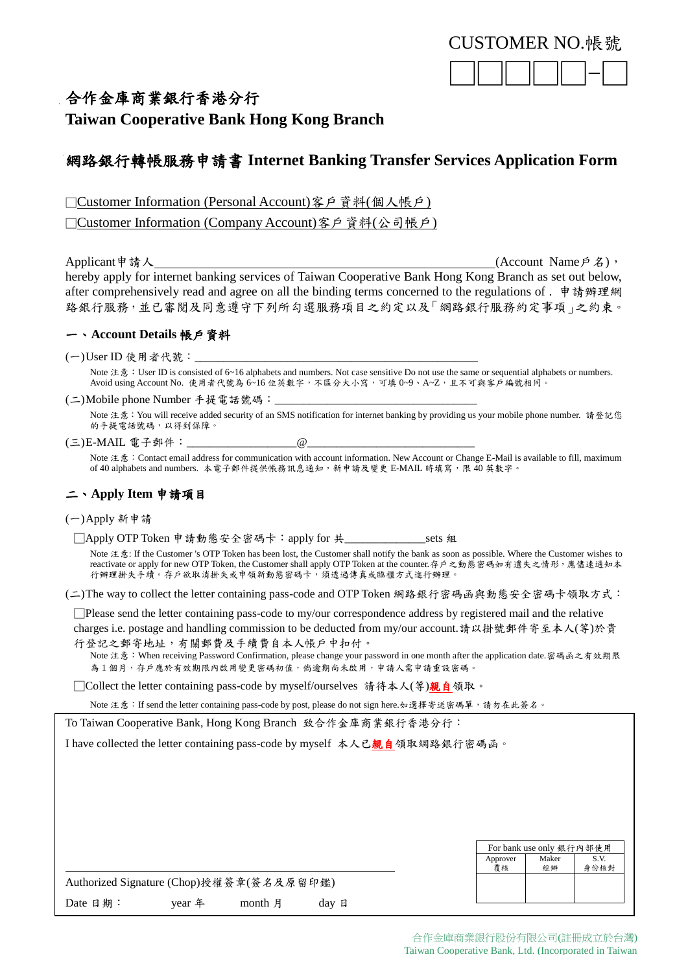

# 合作金庫商業銀行香港分行

**Taiwan Cooperative Bank Hong Kong Branch**

# 網路銀行轉帳服務申請書 **Internet Banking Transfer Services Application Form**

□Customer Information (Personal Account)客戶資料(個人帳戶)

□Customer Information (Company Account)客戶資料(公司帳戶)

Applicant申請人 (Account Name戶名), hereby apply for internet banking services of Taiwan Cooperative Bank Hong Kong Branch as set out below, after comprehensively read and agree on all the binding terms concerned to the regulations of . 申請辦理網 路銀行服務,並已審閱及同意遵守下列所勾選服務項目之約定以及「網路銀行服務約定事項」之約束。

## 一、**Account Details** 帳戶資料

 $(-)$ User ID 使用者代號:

Note 注意: User ID is consisted of 6~16 alphabets and numbers. Not case sensitive Do not use the same or sequential alphabets or numbers. Avoid using Account No. 使用者代號為 6~16 位英數字,不區分大小寫,可填 0~9、A~Z,且不可與客戶編號相同。

(二)Mobile phone Number 手提電話號碼:

Note 注意:You will receive added security of an SMS notification for internet banking by providing us your mobile phone number. 請登記您 的手提電話號碼,以得到保障。

## (三)E-MAIL 電子郵件:\_\_\_\_\_\_\_\_\_\_\_\_\_\_\_\_\_\_\_\_\_\_\_\_\_\_@

Note 注意: Contact email address for communication with account information. New Account or Change E-Mail is available to fill, maximum of 40 alphabets and numbers. 本電子郵件提供帳務訊息通知,新申請及變更 E-MAIL 時填寫,限 40 英數字。

## 二、**Apply Item** 申請項目

(一)Apply 新申請

□Apply OTP Token 申請動態安全密碼卡:apply for 共\_\_\_\_\_\_\_\_\_\_\_\_\_\_sets 組

Note 注意: If the Customer 's OTP Token has been lost, the Customer shall notify the bank as soon as possible. Where the Customer wishes to reactivate or apply for new OTP Token, the Customer shall apply OTP Token at the counter.存戶之動態密碼如有遺失之情形,應儘速通知本 行辦理掛失手續。存戶欲取消掛失或申領新動態密碼卡,須透過傳真或臨櫃方式進行辦理。

(二)The way to collect the letter containing pass-code and OTP Token 網路銀行密碼函與動態安全密碼卡領取方式:

□Please send the letter containing pass-code to my/our correspondence address by registered mail and the relative charges i.e. postage and handling commission to be deducted from my/our account.請以掛號郵件寄至本人(等)於貴

行登記之郵寄地址,有關郵費及手續費自本人帳戶中扣付。

Note 注意:When receiving Password Confirmation, please change your password in one month after the application date.密碼函之有效期限 為1個月,存戶應於有效期限內啟用變更密碼初值,倘逾期尚未啟用,申請人需申請重設密碼。

□Collect the letter containing pass-code by myself/ourselves 請待本人(等)親自領取。

Note 注意:If send the letter containing pass-code by post, please do not sign here.如選擇寄送密碼單,請勿在此簽名。

To Taiwan Cooperative Bank, Hong Kong Branch 致合作金庫商業銀行香港分行:

I have collected the letter containing pass-code by myself 本人已親自領取網路銀行密碼函。

|                                          |        |         |       |  |                | For bank use only 銀行內部使用 |              |
|------------------------------------------|--------|---------|-------|--|----------------|--------------------------|--------------|
|                                          |        |         |       |  | Approver<br>覆核 | Maker<br>經辦              | S.V.<br>身份核對 |
| Authorized Signature (Chop)授權簽章(簽名及原留印鑑) |        |         |       |  |                |                          |              |
| Date 日期:                                 | vear 年 | month 月 | dav 日 |  |                |                          |              |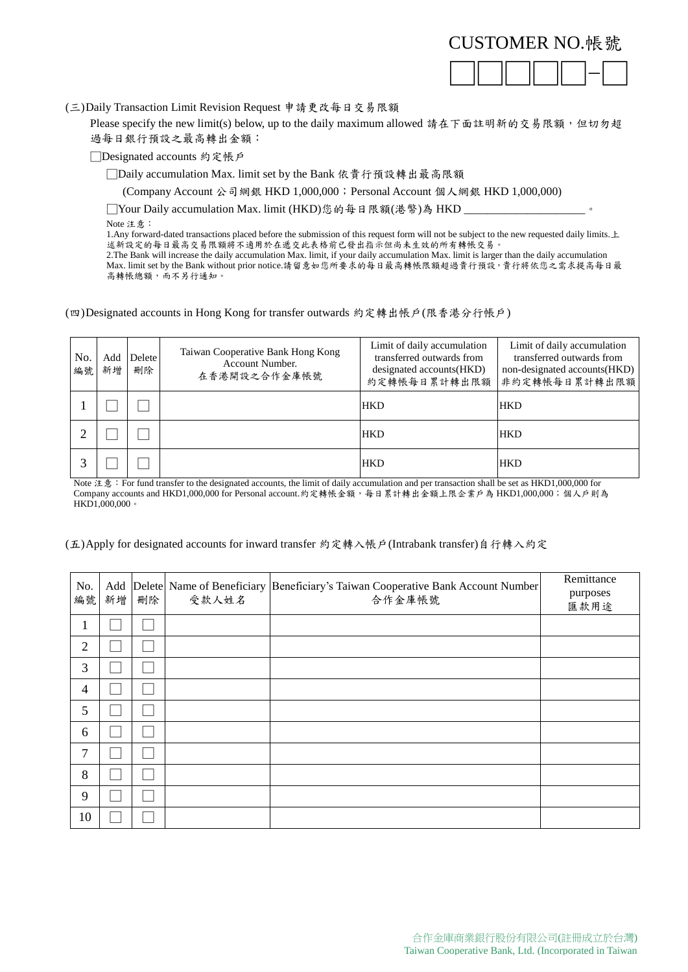

(三)Daily Transaction Limit Revision Request 申請更改每日交易限額

Please specify the new limit(s) below, up to the daily maximum allowed 請在下面註明新的交易限額,但切勿超 過每日銀行預設之最高轉出金額:

□Designated accounts 約定帳戶

□Daily accumulation Max. limit set by the Bank 依貴行預設轉出最高限額

(Company Account 公司網銀 HKD 1,000,000;Personal Account 個人網銀 HKD 1,000,000)

□Your Daily accumulation Max. limit (HKD)您的每日限額(港幣)為 HKD \_

Note 注意:

1.Any forward-dated transactions placed before the submission of this request form will not be subject to the new requested daily limits.上 述新設定的每日最高交易限額將不適用於在遞交此表格前已發出指示但尚未生效的所有轉帳交易

2.The Bank will increase the daily accumulation Max. limit, if your daily accumulation Max. limit is larger than the daily accumulation Max. limit set by the Bank without prior notice.請留意如您所要求的每日最高轉帳限額超過貴行預設,貴行將依您之需求提高每日最 高轉帳總額,而不另行通知。

(四)Designated accounts in Hong Kong for transfer outwards 約定轉出帳戶(限香港分行帳戶)

| No.<br>編號 | Add<br>新增 | <b>Delete</b><br>刪除 | Taiwan Cooperative Bank Hong Kong<br>Account Number.<br>在香港開設之合作金庫帳號 | Limit of daily accumulation<br>transferred outwards from<br>designated accounts (HKD) | Limit of daily accumulation<br>transferred outwards from<br>non-designated accounts (HKD)<br>約定轉帳每日累計轉出限額 非約定轉帳每日累計轉出限額 |
|-----------|-----------|---------------------|----------------------------------------------------------------------|---------------------------------------------------------------------------------------|-------------------------------------------------------------------------------------------------------------------------|
|           |           |                     |                                                                      | <b>HKD</b>                                                                            | <b>HKD</b>                                                                                                              |
| ⌒         |           |                     |                                                                      | <b>HKD</b>                                                                            | <b>HKD</b>                                                                                                              |
|           |           |                     |                                                                      | <b>HKD</b>                                                                            | <b>HKD</b>                                                                                                              |

Note 注意: For fund transfer to the designated accounts, the limit of daily accumulation and per transaction shall be set as HKD1,000,000 for Company accounts and HKD1,000,000 for Personal account.約定轉帳金額,每日累計轉出金額上限企業戶為 HKD1,000,000;個人戶則為 HKD1,000,000。

## (五)Apply for designated accounts for inward transfer 約定轉入帳戶(Intrabank transfer)自行轉入約定

| No.<br>編號      | 新增 | 刪除 | 受款人姓名 | Add  Delete  Name of Beneficiary  Beneficiary's Taiwan Cooperative Bank Account Number <br>合作金庫帳號 | Remittance<br>purposes<br>匯款用途 |
|----------------|----|----|-------|---------------------------------------------------------------------------------------------------|--------------------------------|
| T              |    |    |       |                                                                                                   |                                |
| $\overline{2}$ |    |    |       |                                                                                                   |                                |
| 3              |    |    |       |                                                                                                   |                                |
| $\overline{4}$ |    |    |       |                                                                                                   |                                |
| 5              |    |    |       |                                                                                                   |                                |
| 6              |    |    |       |                                                                                                   |                                |
| 7              |    |    |       |                                                                                                   |                                |
| 8              |    |    |       |                                                                                                   |                                |
| 9              |    |    |       |                                                                                                   |                                |
| 10             |    |    |       |                                                                                                   |                                |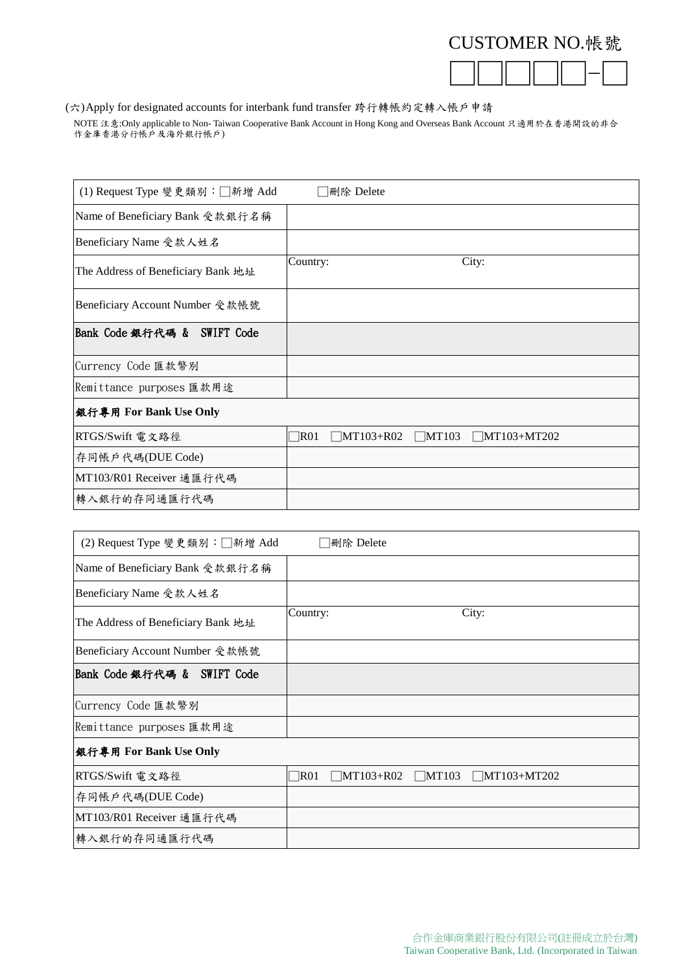

(六)Apply for designated accounts for interbank fund transfer 跨行轉帳約定轉入帳戶申請

NOTE 注意:Only applicable to Non- Taiwan Cooperative Bank Account in Hong Kong and Overseas Bank Account 只適用於在香港開設的非合 rorn factomy approache to rion ran

| (1) Request Type 變更類別:□新增 Add      | 刪除 Delete                                                     |
|------------------------------------|---------------------------------------------------------------|
| Name of Beneficiary Bank 受款銀行名稱    |                                                               |
| Beneficiary Name 受款人姓名             |                                                               |
| The Address of Beneficiary Bank 地址 | City:<br>Country:                                             |
| Beneficiary Account Number 受款帳號    |                                                               |
| Bank Code 銀行代碼 & SWIFT Code        |                                                               |
| Currency Code 匯款幣別                 |                                                               |
| Remittance purposes 匯款用途           |                                                               |
| 銀行專用 For Bank Use Only             |                                                               |
| RTGS/Swift 電文路徑                    | R01<br>$\Box$ MT103+R02<br>$\Box$ MT103<br>$\Box$ MT103+MT202 |
| 存同帳戶代碼(DUE Code)                   |                                                               |
| MT103/R01 Receiver 通匯行代碼           |                                                               |
| 轉入銀行的存同通匯行代碼                       |                                                               |

| (2) Request Type 變更類別:□新增 Add      | ∃刪除 Delete                                                 |
|------------------------------------|------------------------------------------------------------|
| Name of Beneficiary Bank 受款銀行名稱    |                                                            |
| Beneficiary Name 受款人姓名             |                                                            |
| The Address of Beneficiary Bank 地址 | City:<br>Country:                                          |
| Beneficiary Account Number 受款帳號    |                                                            |
| Bank Code 銀行代碼 & SWIFT Code        |                                                            |
| Currency Code 匯款幣別                 |                                                            |
| Remittance purposes 匯款用途           |                                                            |
| 銀行專用 For Bank Use Only             |                                                            |
| RTGS/Swift 電文路徑                    | $\Box$ MT103+R02<br>$\Box$ MT103 $\Box$ MT103+MT202<br>R01 |
| 存同帳戶代碼(DUE Code)                   |                                                            |
| MT103/R01 Receiver 通匯行代碼           |                                                            |
| 轉入銀行的存同通匯行代碼                       |                                                            |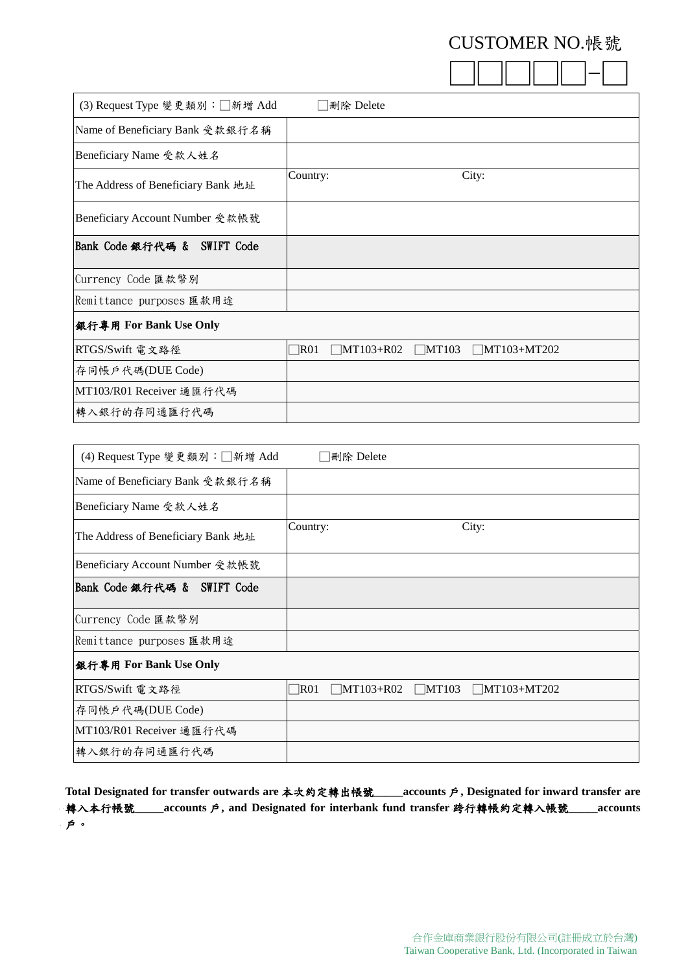|--|--|--|--|--|--|

| (3) Request Type 變更類別:□新增 Add      | 刪除 Delete                                                             |
|------------------------------------|-----------------------------------------------------------------------|
| Name of Beneficiary Bank 受款銀行名稱    |                                                                       |
| Beneficiary Name 受款人姓名             |                                                                       |
| The Address of Beneficiary Bank 地址 | City:<br>Country:                                                     |
| Beneficiary Account Number 受款帳號    |                                                                       |
| Bank Code 銀行代碼 & SWIFT Code        |                                                                       |
| Currency Code 匯款幣別                 |                                                                       |
| Remittance purposes 匯款用途           |                                                                       |
| 銀行專用 For Bank Use Only             |                                                                       |
| RTGS/Swift 電文路徑                    | $\n  R01\n$<br>$\Box$ MT103+R02<br>$\Box$ MT103<br>$\Box$ MT103+MT202 |
| 存同帳戶代碼(DUE Code)                   |                                                                       |
| MT103/R01 Receiver 通匯行代碼           |                                                                       |
| 轉入銀行的存同通匯行代碼                       |                                                                       |

| (4) Request Type 變更類別:□新增 Add      | │刪除 Delete                                                    |
|------------------------------------|---------------------------------------------------------------|
| Name of Beneficiary Bank 受款銀行名稱    |                                                               |
| Beneficiary Name 受款人姓名             |                                                               |
| The Address of Beneficiary Bank 地址 | City:<br>Country:                                             |
| Beneficiary Account Number 受款帳號    |                                                               |
| Bank Code 銀行代碼 & SWIFT Code        |                                                               |
| Currency Code 匯款幣別                 |                                                               |
| Remittance purposes 匯款用途           |                                                               |
| 銀行專用 For Bank Use Only             |                                                               |
| RTGS/Swift 電文路徑                    | $\Box$ MT103<br>R01<br>$\Box$ MT103+R02<br>$\Box$ MT103+MT202 |
| 存同帳戶代碼(DUE Code)                   |                                                               |
| MT103/R01 Receiver 通匯行代碼           |                                                               |
| 轉入銀行的存同通匯行代碼                       |                                                               |

**Total Designated for transfer outwards are** 本次約定轉出帳號**\_\_\_\_\_accounts** 戶**, Designated for inward transfer are** 轉入本行帳號**\_\_\_\_\_accounts** 戶**, and Designated for interbank fund transfer** 跨行轉帳約定轉入帳號**\_\_\_\_\_accounts** 戶。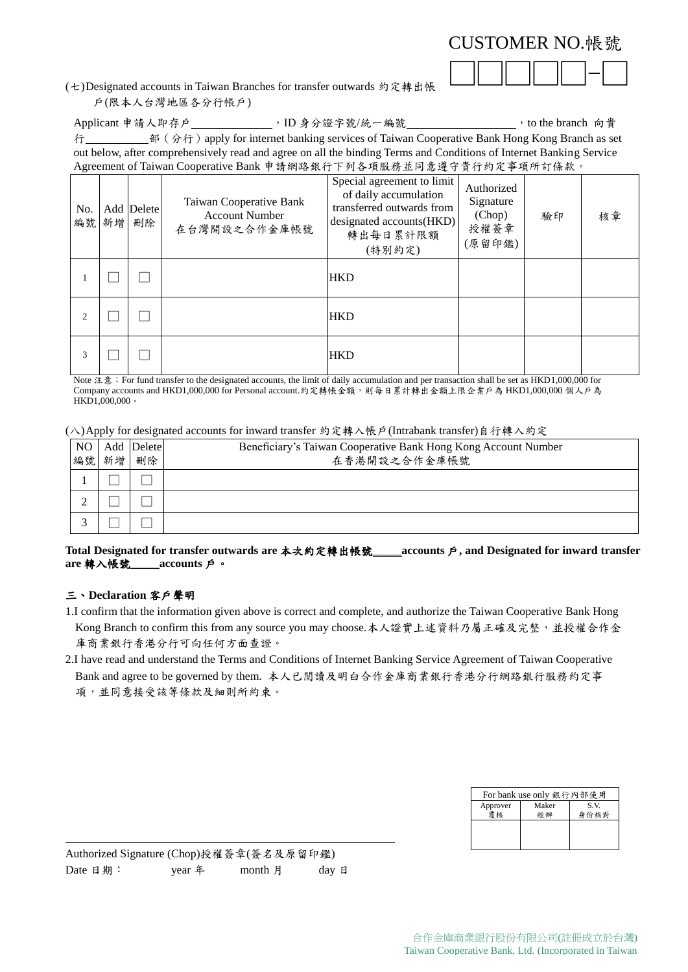| CUSTOMER NO. 帳號 |  |
|-----------------|--|
|-----------------|--|

(七)Designated accounts in Taiwan Branches for transfer outwards 約定轉出帳 戶(限本人台灣地區各分行帳戶)

Applicant 申請人即存戶\_\_\_\_\_\_\_\_\_\_\_\_\_, ID 身分證字號/統一編號\_\_\_\_\_\_\_\_\_\_\_\_\_\_\_\_\_, to the branch 向貴 行 部(分行)apply for internet banking services of Taiwan Cooperative Bank Hong Kong Branch as set out below, after comprehensively read and agree on all the binding Terms and Conditions of Internet Banking Service Agreement of Taiwan Cooperative Bank 申請網路銀行下列各項服務並同意遵守貴行約定事項所訂條款。

| No. | 編號 新增 | Add Delete<br>刪除 | Taiwan Cooperative Bank<br><b>Account Number</b><br>在台灣開設之合作金庫帳號 | Special agreement to limit<br>of daily accumulation<br>transferred outwards from<br>designated accounts(HKD)<br>轉出每日累計限額<br>(特別約定) | Authorized<br>Signature<br>(Chop)<br>授權簽章<br>(原留印鑑) | 驗印 | 核章 |
|-----|-------|------------------|------------------------------------------------------------------|------------------------------------------------------------------------------------------------------------------------------------|-----------------------------------------------------|----|----|
|     |       |                  |                                                                  | <b>HKD</b>                                                                                                                         |                                                     |    |    |
| 2   |       |                  |                                                                  | <b>HKD</b>                                                                                                                         |                                                     |    |    |
| 3   |       |                  |                                                                  | <b>HKD</b>                                                                                                                         |                                                     |    |    |

Note 注意: For fund transfer to the designated accounts, the limit of daily accumulation and per transaction shall be set as HKD1,000,000 for Company accounts and HKD1,000,000 for Personal account.約定轉帳金額,則每日累計轉出金額上限企業戶為 HKD1,000,000 個人戶為 HKD1,000,000。

(八)Apply for designated accounts for inward transfer 約定轉入帳戶(Intrabank transfer)自行轉入約定

| NO  <br>編號 | 新增 | Add Delete<br>刪除 | Beneficiary's Taiwan Cooperative Bank Hong Kong Account Number<br>在香港開設之合作金庫帳號 |
|------------|----|------------------|--------------------------------------------------------------------------------|
|            |    |                  |                                                                                |
|            |    |                  |                                                                                |
|            |    |                  |                                                                                |
|            |    |                  |                                                                                |

**Total Designated for transfer outwards are** 本次約定轉出帳號\_\_\_\_\_**accounts** 戶**, and Designated for inward transfer are** 轉入帳號\_\_\_\_\_**accounts** 戶。

## 三、**Declaration** 客戶聲明

 $\overline{a}$ 

- 1.I confirm that the information given above is correct and complete, and authorize the Taiwan Cooperative Bank Hong Kong Branch to confirm this from any source you may choose.本人證實上述資料乃屬正確及完整,並授權合作金 庫商業銀行香港分行可向任何方面查證。
- 2.I have read and understand the Terms and Conditions of Internet Banking Service Agreement of Taiwan Cooperative Bank and agree to be governed by them. 本人已閱讀及明白合作金庫商業銀行香港分行網路銀行服務約定事 項,並同意接受該等條款及細則所約束。

| For bank use only 銀行內部使用 |       |      |  |
|--------------------------|-------|------|--|
| Approver                 | Maker | S.V. |  |
|                          |       | 身份核對 |  |
|                          |       |      |  |
|                          |       |      |  |
|                          |       |      |  |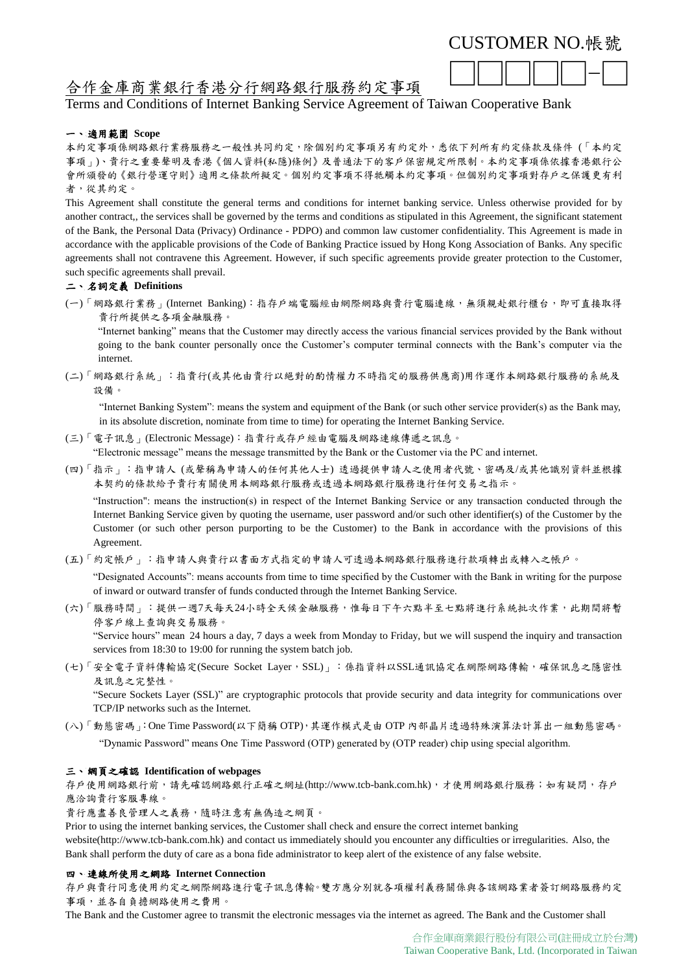□□□□□-□

# 合作金庫商業銀行香港分行網路銀行服務約定事項

## Terms and Conditions of Internet Banking Service Agreement of Taiwan Cooperative Bank

## 一、 適用範圍 **Scope**

本約定事項係網路銀行業務服務之一般性共同約定,除個別約定事項另有約定外,悉依下列所有約定條款及條件 (「本約定 事項」)、貴行之重要聲明及香港《個人資料(私隱)條例》及普通法下的客戶保密規定所限制。本約定事項係依據香港銀行公 會所頒發的《銀行營運守則》適用之條款所擬定。個別約定事項不得牴觸本約定事項。但個別約定事項對存戶之保護更有利 者,從其約定。

This Agreement shall constitute the general terms and conditions for internet banking service. Unless otherwise provided for by another contract,, the services shall be governed by the terms and conditions as stipulated in this Agreement, the significant statement of the Bank, the Personal Data (Privacy) Ordinance - PDPO) and common law customer confidentiality. This Agreement is made in accordance with the applicable provisions of the Code of Banking Practice issued by Hong Kong Association of Banks. Any specific agreements shall not contravene this Agreement. However, if such specific agreements provide greater protection to the Customer, such specific agreements shall prevail.

## 二、 名詞定義 **Definitions**

(一)「網路銀行業務」(Internet Banking):指存戶端電腦經由網際網路與貴行電腦連線,無須親赴銀行櫃台,即可直接取得 貴行所提供之各項金融服務。

"Internet banking" means that the Customer may directly access the various financial services provided by the Bank without going to the bank counter personally once the Customer's computer terminal connects with the Bank's computer via the internet.

(二)「網路銀行系統」:指貴行(或其他由貴行以絕對的酌情權力不時指定的服務供應商)用作運作本網路銀行服務的系統及 設備。

"Internet Banking System": means the system and equipment of the Bank (or such other service provider(s) as the Bank may, in its absolute discretion, nominate from time to time) for operating the Internet Banking Service.

- (三)「電子訊息」(Electronic Message):指貴行或存戶經由電腦及網路連線傳遞之訊息。 "Electronic message" means the message transmitted by the Bank or the Customer via the PC and internet.
- (四)「指示」:指申請人 (或聲稱為申請人的任何其他人士) 透過提供申請人之使用者代號、密碼及/或其他識別資料並根據 本契約的條款給予貴行有關使用本網路銀行服務或透過本網路銀行服務進行任何交易之指示。

"Instruction": means the instruction(s) in respect of the Internet Banking Service or any transaction conducted through the Internet Banking Service given by quoting the username, user password and/or such other identifier(s) of the Customer by the Customer (or such other person purporting to be the Customer) to the Bank in accordance with the provisions of this Agreement.

(五)「約定帳戶」:指申請人與貴行以書面方式指定的申請人可透過本網路銀行服務進行款項轉出或轉入之帳戶。

"Designated Accounts": means accounts from time to time specified by the Customer with the Bank in writing for the purpose of inward or outward transfer of funds conducted through the Internet Banking Service.

- (六)「服務時間」:提供一週7天每天24小時全天候金融服務,惟每日下午六點半至七點將進行系統批次作業,此期間將暫 停客戶線上查詢與交易服務。 "Service hours" mean 24 hours a day, 7 days a week from Monday to Friday, but we will suspend the inquiry and transaction services from 18:30 to 19:00 for running the system batch job.
- (七)「安全電子資料傳輸協定(Secure Socket Layer,SSL)」:係指資料以SSL通訊協定在網際網路傳輸,確保訊息之隱密性 及訊息之完整性。 "Secure Sockets Layer (SSL)" are cryptographic protocols that provide security and data integrity for communications over

TCP/IP networks such as the Internet.

(八)「動態密碼」:One Time Password(以下簡稱 OTP),其運作模式是由 OTP 內部晶片透過特殊演算法計算出一組動態密碼。 "Dynamic Password" means One Time Password (OTP) generated by (OTP reader) chip using special algorithm.

## 三、 網頁之確認 **Identification of webpages**

存戶使用網路銀行前,請先確認網路銀行正確之網址(http://www.tcb-bank.com.hk),才使用網路銀行服務;如有疑問,存戶 應洽詢貴行客服專線。

貴行應盡善良管理人之義務,隨時注意有無偽造之網頁。

Prior to using the internet banking services, the Customer shall check and ensure the correct internet banking

website(http://www.tcb-bank.com.hk) and contact us immediately should you encounter any difficulties or irregularities. Also, the Bank shall perform the duty of care as a bona fide administrator to keep alert of the existence of any false website.

## 四、 連線所使用之網路 **Internet Connection**

存戶與貴行同意使用約定之網際網路進行電子訊息傳輸。雙方應分別就各項權利義務關係與各該網路業者簽訂網路服務約定 事項,並各自負擔網路使用之費用。

The Bank and the Customer agree to transmit the electronic messages via the internet as agreed. The Bank and the Customer shall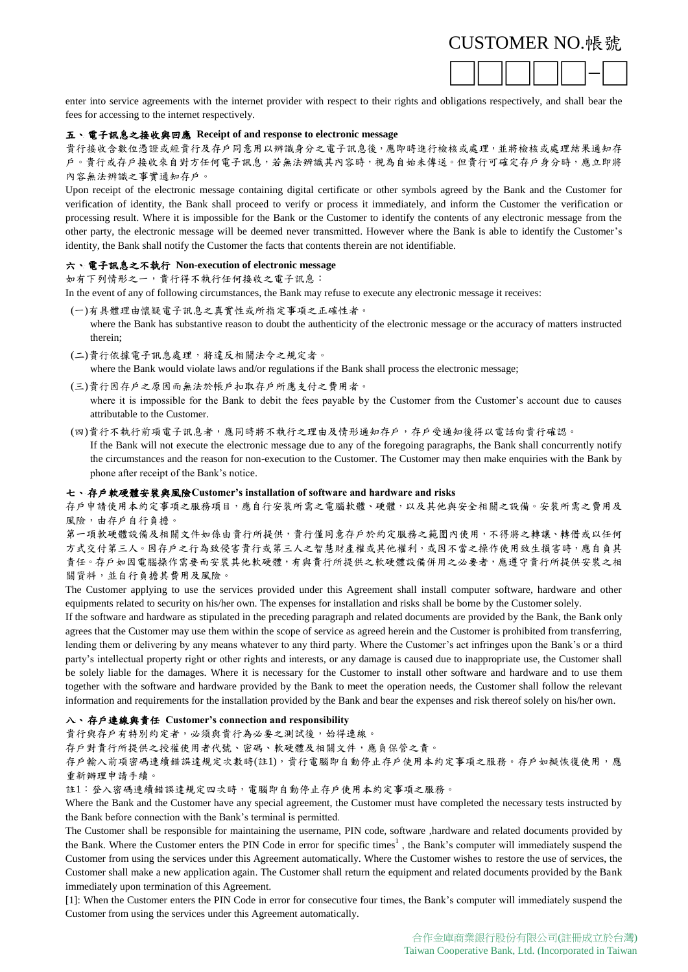

enter into service agreements with the internet provider with respect to their rights and obligations respectively, and shall bear the fees for accessing to the internet respectively.

## 五、 電子訊息之接收與回應 **Receipt of and response to electronic message**

貴行接收含數位憑證或經貴行及存戶同意用以辨識身分之電子訊息後,應即時進行檢核或處理,並將檢核或處理結果通知存 戶。貴行或存戶接收來自對方任何電子訊息,若無法辨識其內容時,視為自始未傳送。但貴行可確定存戶身分時,應立即將 內容無法辨識之事實通知存戶。

Upon receipt of the electronic message containing digital certificate or other symbols agreed by the Bank and the Customer for verification of identity, the Bank shall proceed to verify or process it immediately, and inform the Customer the verification or processing result. Where it is impossible for the Bank or the Customer to identify the contents of any electronic message from the other party, the electronic message will be deemed never transmitted. However where the Bank is able to identify the Customer's identity, the Bank shall notify the Customer the facts that contents therein are not identifiable.

## 六、 電子訊息之不執行 **Non-execution of electronic message**

如有下列情形之一,貴行得不執行任何接收之電子訊息:

In the event of any of following circumstances, the Bank may refuse to execute any electronic message it receives:

- (一)有具體理由懷疑電子訊息之真實性或所指定事項之正確性者。 where the Bank has substantive reason to doubt the authenticity of the electronic message or the accuracy of matters instructed therein;
- (二)貴行依據電子訊息處理,將違反相關法令之規定者。

where the Bank would violate laws and/or regulations if the Bank shall process the electronic message;

(三)貴行因存戶之原因而無法於帳戶扣取存戶所應支付之費用者。

where it is impossible for the Bank to debit the fees payable by the Customer from the Customer's account due to causes attributable to the Customer.

## (四)貴行不執行前項電子訊息者,應同時將不執行之理由及情形通知存戶,存戶受通知後得以電話向貴行確認。

If the Bank will not execute the electronic message due to any of the foregoing paragraphs, the Bank shall concurrently notify the circumstances and the reason for non-execution to the Customer. The Customer may then make enquiries with the Bank by phone after receipt of the Bank's notice.

## 七、 存戶軟硬體安裝與風險**Customer's installation of software and hardware and risks**

存戶申請使用本約定事項之服務項目,應自行安裝所需之電腦軟體、硬體,以及其他與安全相關之設備。安裝所需之費用及 風險,由存戶自行負擔。

第一項軟硬體設備及相關文件如係由貴行所提供,貴行僅同意存戶於約定服務之範圍內使用,不得將之轉讓、轉借或以任何 方式交付第三人。因存戶之行為致侵害貴行或第三人之智慧財產權或其他權利,或因不當之操作使用致生損害時,應自負其 責任。存戶如因電腦操作需要而安裝其他軟硬體,有與貴行所提供之軟硬體設備併用之必要者,應遵守貴行所提供安裝之相 關資料,並自行負擔其費用及風險。

The Customer applying to use the services provided under this Agreement shall install computer software, hardware and other equipments related to security on his/her own. The expenses for installation and risks shall be borne by the Customer solely.

If the software and hardware as stipulated in the preceding paragraph and related documents are provided by the Bank, the Bank only agrees that the Customer may use them within the scope of service as agreed herein and the Customer is prohibited from transferring, lending them or delivering by any means whatever to any third party. Where the Customer's act infringes upon the Bank's or a third party's intellectual property right or other rights and interests, or any damage is caused due to inappropriate use, the Customer shall be solely liable for the damages. Where it is necessary for the Customer to install other software and hardware and to use them together with the software and hardware provided by the Bank to meet the operation needs, the Customer shall follow the relevant information and requirements for the installation provided by the Bank and bear the expenses and risk thereof solely on his/her own.

## 八、 存戶連線與責任 **Customer's connection and responsibility**

貴行與存戶有特別約定者,必須與貴行為必要之測試後,始得連線。

存戶對貴行所提供之授權使用者代號、密碼、軟硬體及相關文件,應負保管之責。

存戶輸入前項密碼連續錯誤達規定次數時(註1),貴行電腦即自動停止存戶使用本約定事項之服務。存戶如擬恢復使用,應 重新辦理申請手續。

註1:登入密碼連續錯誤達規定四次時,電腦即自動停止存戶使用本約定事項之服務。

Where the Bank and the Customer have any special agreement, the Customer must have completed the necessary tests instructed by the Bank before connection with the Bank's terminal is permitted.

The Customer shall be responsible for maintaining the username, PIN code, software ,hardware and related documents provided by the Bank. Where the Customer enters the PIN Code in error for specific times<sup>1</sup>, the Bank's computer will immediately suspend the Customer from using the services under this Agreement automatically. Where the Customer wishes to restore the use of services, the Customer shall make a new application again. The Customer shall return the equipment and related documents provided by the Bank immediately upon termination of this Agreement.

[1]: When the Customer enters the PIN Code in error for consecutive four times, the Bank's computer will immediately suspend the Customer from using the services under this Agreement automatically.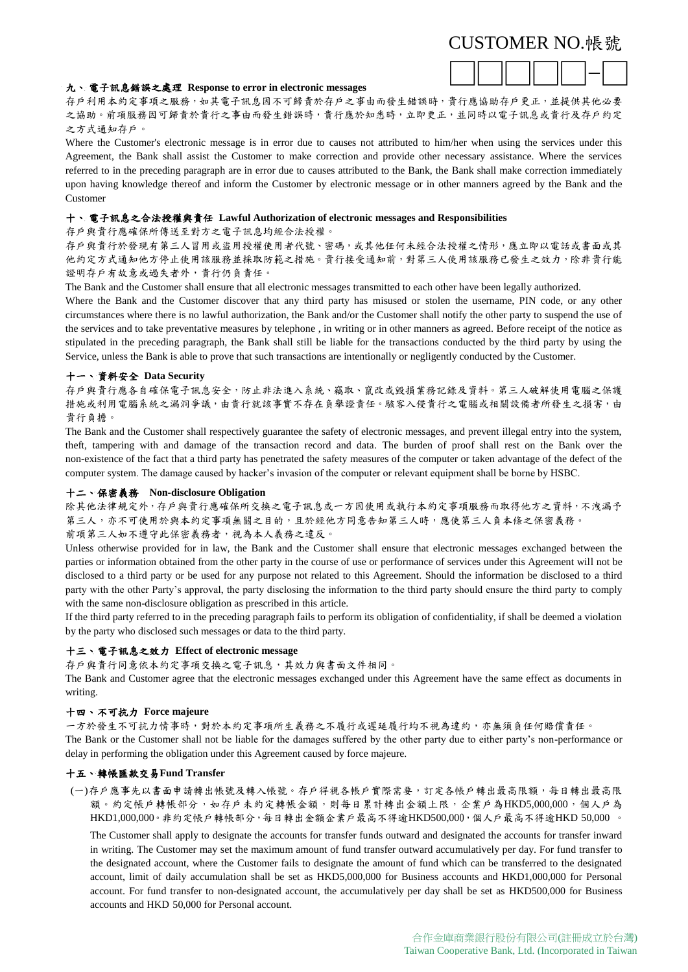

## 九、 電子訊息錯誤之處理 **Response to error in electronic messages**

存戶利用本約定事項之服務,如其電子訊息因不可歸責於存戶之事由而發生錯誤時,責行應協助存戶更正,並提供其他必要 之協助。前項服務因可歸責於貴行之事由而發生錯誤時,貴行應於知悉時,立即更正,並同時以電子訊息或貴行及存戶約定 之方式通知存戶。

Where the Customer's electronic message is in error due to causes not attributed to him/her when using the services under this Agreement, the Bank shall assist the Customer to make correction and provide other necessary assistance. Where the services referred to in the preceding paragraph are in error due to causes attributed to the Bank, the Bank shall make correction immediately upon having knowledge thereof and inform the Customer by electronic message or in other manners agreed by the Bank and the Customer

## 十、 電子訊息之合法授權與責任 **Lawful Authorization of electronic messages and Responsibilities**

存戶與貴行應確保所傳送至對方之電子訊息均經合法授權。

存戶與貴行於發現有第三人冒用或盜用授權使用者代號、密碼,或其他任何未經合法授權之情形,應立即以電話或書面或其 他約定方式通知他方停止使用該服務並採取防範之措施。貴行接受通知前,對第三人使用該服務已發生之效力,除非貴行能 證明存戶有故意或過失者外,貴行仍負責任。

The Bank and the Customer shall ensure that all electronic messages transmitted to each other have been legally authorized.

Where the Bank and the Customer discover that any third party has misused or stolen the username, PIN code, or any other circumstances where there is no lawful authorization, the Bank and/or the Customer shall notify the other party to suspend the use of the services and to take preventative measures by telephone , in writing or in other manners as agreed. Before receipt of the notice as stipulated in the preceding paragraph, the Bank shall still be liable for the transactions conducted by the third party by using the Service, unless the Bank is able to prove that such transactions are intentionally or negligently conducted by the Customer.

## 十一、 資料安全 **Data Security**

存戶與貴行應各自確保電子訊息安全,防止非法進入系統、竊取、竄改或毀損業務記錄及資料。第三人破解使用電腦之保護 措施或利用電腦系統之漏洞爭議,由貴行就該事實不存在負舉證責任。駭客入侵貴行之電腦或相關設備者所發生之損害,由 貴行負擔。

The Bank and the Customer shall respectively guarantee the safety of electronic messages, and prevent illegal entry into the system, theft, tampering with and damage of the transaction record and data. The burden of proof shall rest on the Bank over the non-existence of the fact that a third party has penetrated the safety measures of the computer or taken advantage of the defect of the computer system. The damage caused by hacker's invasion of the computer or relevant equipment shall be borne by HSBC.

## 十二、 保密義務 **Non-disclosure Obligation**

除其他法律規定外,存戶與責行應確保所交換之電子訊息或一方因使用或執行本約定事項服務而取得他方之資料,不洩漏予 第三人,亦不可使用於與本約定事項無關之目的,且於經他方同意告知第三人時,應使第三人負本條之保密義務。 前項第三人如不遵守此保密義務者,視為本人義務之違反。

Unless otherwise provided for in law, the Bank and the Customer shall ensure that electronic messages exchanged between the parties or information obtained from the other party in the course of use or performance of services under this Agreement will not be disclosed to a third party or be used for any purpose not related to this Agreement. Should the information be disclosed to a third party with the other Party's approval, the party disclosing the information to the third party should ensure the third party to comply with the same non-disclosure obligation as prescribed in this article.

If the third party referred to in the preceding paragraph fails to perform its obligation of confidentiality, if shall be deemed a violation by the party who disclosed such messages or data to the third party.

## 十三、 電子訊息之效力 **Effect of electronic message**

存戶與貴行同意依本約定事項交換之電子訊息,其效力與書面文件相同。

The Bank and Customer agree that the electronic messages exchanged under this Agreement have the same effect as documents in writing.

## 十四、 不可抗力 **Force majeure**

一方於發生不可抗力情事時,對於本約定事項所生義務之不履行或遲延履行均不視為違約,亦無須負任何賠償責任。 The Bank or the Customer shall not be liable for the damages suffered by the other party due to either party's non-performance or delay in performing the obligation under this Agreement caused by force majeure.

## 十五、 轉帳匯款交易**Fund Transfer**

(一)存戶應事先以書面申請轉出帳號及轉入帳號。存戶得視各帳戶實際需要,訂定各帳戶轉出最高限額,每日轉出最高限 額。約定帳戶轉帳部分,如存戶未約定轉帳金額,則每日累計轉出金額上限,企業戶為HKD5,000,000,個人戶為 HKD1,000,000。非約定帳戶轉帳部分,每日轉出金額企業戶最高不得逾HKD500,000,個人戶最高不得逾HKD 50,000 。

The Customer shall apply to designate the accounts for transfer funds outward and designated the accounts for transfer inward in writing. The Customer may set the maximum amount of fund transfer outward accumulatively per day. For fund transfer to the designated account, where the Customer fails to designate the amount of fund which can be transferred to the designated account, limit of daily accumulation shall be set as HKD5,000,000 for Business accounts and HKD1,000,000 for Personal account. For fund transfer to non-designated account, the accumulatively per day shall be set as HKD500,000 for Business accounts and HKD 50,000 for Personal account.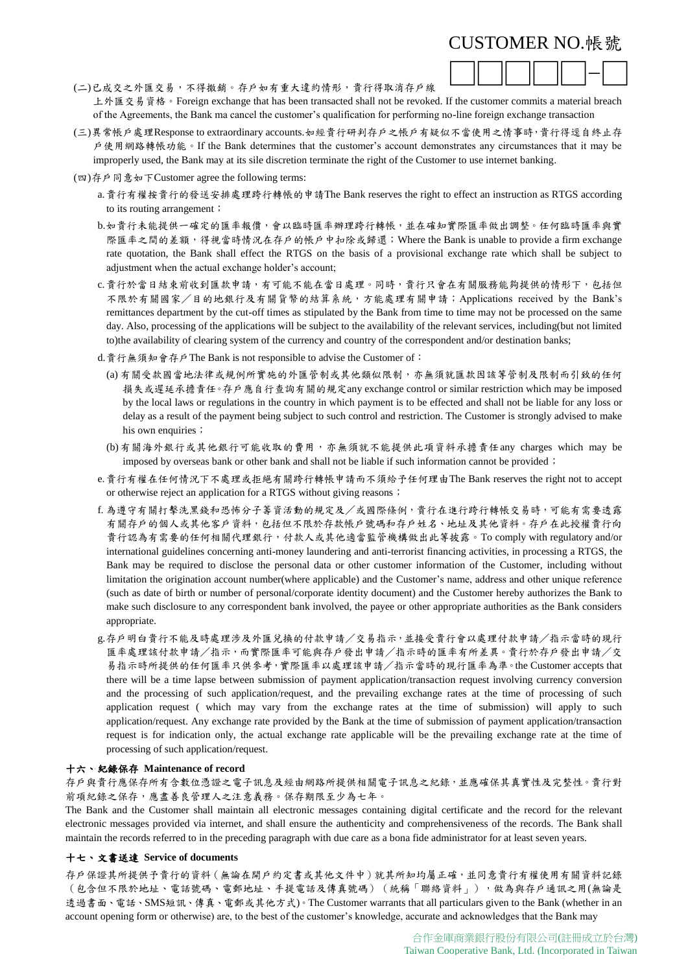

(二)已成交之外匯交易,不得撤銷。存戶如有重大違約情形,貴行得取消存戶線 上外匯交易資格。Foreign exchange that has been transacted shall not be revoked. If the customer commits a material breach of the Agreements, the Bank ma cancel the customer's qualification for performing no-line foreign exchange transaction

- (三)異常帳戶處理Response to extraordinary accounts.如經貴行研判存戶之帳戶有疑似不當使用之情事時,貴行得逕自終止存 戶使用網路轉帳功能。If the Bank determines that the customer's account demonstrates any circumstances that it may be improperly used, the Bank may at its sile discretion terminate the right of the Customer to use internet banking.
- (四)存戶同意如下Customer agree the following terms:
	- a.貴行有權按貴行的發送安排處理跨行轉帳的申請The Bank reserves the right to effect an instruction as RTGS according to its routing arrangement;
	- b.如貴行未能提供一確定的匯率報價,會以臨時匯率辦理跨行轉帳,並在確知實際匯率做出調整。任何臨時匯率與實 際匯率之間的差額,得視當時情況在存戶的帳戶中扣除或歸還;Where the Bank is unable to provide a firm exchange rate quotation, the Bank shall effect the RTGS on the basis of a provisional exchange rate which shall be subject to adjustment when the actual exchange holder's account;
	- c.貴行於當日結束前收到匯款申請,有可能不能在當日處理。同時,貴行只會在有關服務能夠提供的情形下,包括但 不限於有關國家/目的地銀行及有關貨幣的結算系統,方能處理有關申請;Applications received by the Bank's remittances department by the cut-off times as stipulated by the Bank from time to time may not be processed on the same day. Also, processing of the applications will be subject to the availability of the relevant services, including(but not limited to)the availability of clearing system of the currency and country of the correspondent and/or destination banks;
	- d. 貴行無須知會存戶The Bank is not responsible to advise the Customer of:
		- (a) 有關受款國當地法律或規例所實施的外匯管制或其他類似限制,亦無須就匯款因該等管制及限制而引致的任何 損失或遲延承擔責任。存戶應自行查詢有關的規定any exchange control or similar restriction which may be imposed by the local laws or regulations in the country in which payment is to be effected and shall not be liable for any loss or delay as a result of the payment being subject to such control and restriction. The Customer is strongly advised to make his own enquiries;
		- (b)有關海外銀行或其他銀行可能收取的費用,亦無須就不能提供此項資料承擔責任any charges which may be imposed by overseas bank or other bank and shall not be liable if such information cannot be provided;
	- e.貴行有權在任何情況下不處理或拒絕有關跨行轉帳申請而不須給予任何理由The Bank reserves the right not to accept or otherwise reject an application for a RTGS without giving reasons;
	- f. 為遵守有關打擊洗黑錢和恐怖分子籌資活動的規定及/或國際條例,貴行在進行跨行轉帳交易時,可能有需要透露 有關存戶的個人或其他客戶資料,包括但不限於存款帳戶號碼和存戶姓名、地址及其他資料。存戶在此授權貴行向 貴行認為有需要的任何相關代理銀行,付款人或其他適當監管機構做出此等披露。To comply with regulatory and/or international guidelines concerning anti-money laundering and anti-terrorist financing activities, in processing a RTGS, the Bank may be required to disclose the personal data or other customer information of the Customer, including without limitation the origination account number(where applicable) and the Customer's name, address and other unique reference (such as date of birth or number of personal/corporate identity document) and the Customer hereby authorizes the Bank to make such disclosure to any correspondent bank involved, the payee or other appropriate authorities as the Bank considers appropriate.
	- g.存戶明白貴行不能及時處理涉及外匯兌換的付款申請/交易指示,並接受貴行會以處理付款申請/指示當時的現行 匯率處理該付款申請/指示,而實際匯率可能與存戶發出申請/指示時的匯率有所差異。貴行於存戶發出申請/交 易指示時所提供的任何匯率只供參考,實際匯率以處理該申請/指示當時的現行匯率為準。the Customer accepts that there will be a time lapse between submission of payment application/transaction request involving currency conversion and the processing of such application/request, and the prevailing exchange rates at the time of processing of such application request ( which may vary from the exchange rates at the time of submission) will apply to such application/request. Any exchange rate provided by the Bank at the time of submission of payment application/transaction request is for indication only, the actual exchange rate applicable will be the prevailing exchange rate at the time of processing of such application/request.

## 十六、 紀錄保存 **Maintenance of record**

存戶與貴行應保存所有含數位憑證之電子訊息及經由網路所提供相關電子訊息之紀錄,並應確保其真實性及完整性。貴行對 前項紀錄之保存,應盡善良管理人之注意義務。保存期限至少為七年。

The Bank and the Customer shall maintain all electronic messages containing digital certificate and the record for the relevant electronic messages provided via internet, and shall ensure the authenticity and comprehensiveness of the records. The Bank shall maintain the records referred to in the preceding paragraph with due care as a bona fide administrator for at least seven years.

## 十七、 文書送達 **Service of documents**

存戶保證其所提供予貴行的資料(無論在開戶約定書或其他文件中)就其所知均屬正確,並同意貴行有權使用有關資料記錄 (包含但不限於地址、電話號碼、電郵地址、手提電話及傳真號碼)(統稱「聯絡資料」),做為與存戶通訊之用(無論是 透過書面、電話、SMS短訊、傳真、電郵或其他方式)。The Customer warrants that all particulars given to the Bank (whether in an account opening form or otherwise) are, to the best of the customer's knowledge, accurate and acknowledges that the Bank may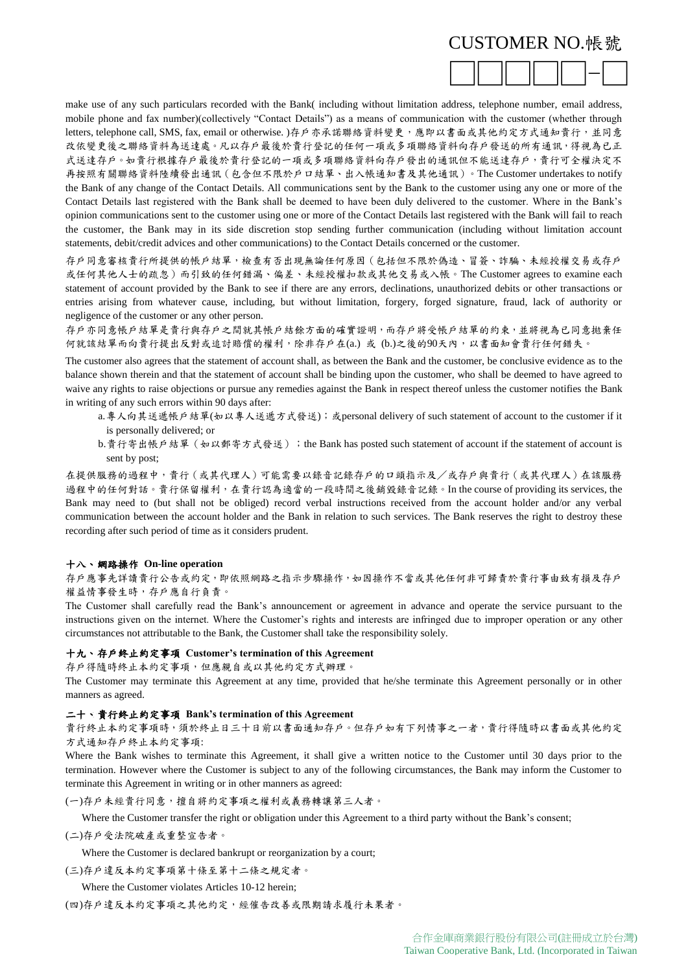

make use of any such particulars recorded with the Bank( including without limitation address, telephone number, email address, mobile phone and fax number)(collectively "Contact Details") as a means of communication with the customer (whether through letters, telephone call, SMS, fax, email or otherwise. )存戶亦承諾聯絡資料變更,應即以書面或其他約定方式通知貴行,並同意 改依變更後之聯絡資料為送達處。凡以存戶最後於貴行登記的任何一項或多項聯絡資料向存戶發送的所有通訊,得視為已正 式送達存戶。如貴行根據存戶最後於貴行登記的一項或多項聯絡資料向存戶發出的通訊但不能送達存戶,貴行可全權決定不 再按照有關聯絡資料陸續發出通訊(包含但不限於戶口結單、出入帳通知書及其他通訊)。The Customer undertakes to notify the Bank of any change of the Contact Details. All communications sent by the Bank to the customer using any one or more of the Contact Details last registered with the Bank shall be deemed to have been duly delivered to the customer. Where in the Bank's opinion communications sent to the customer using one or more of the Contact Details last registered with the Bank will fail to reach the customer, the Bank may in its side discretion stop sending further communication (including without limitation account statements, debit/credit advices and other communications) to the Contact Details concerned or the customer.

存戶同意審核貴行所提供的帳戶結單,檢查有否出現無論任何原因(包括但不限於偽造、冒簽、詐騙、未經授權交易或存戶 或任何其他人士的疏忽)而引致的任何錯漏、偏差、未經授權扣款或其他交易或入帳。The Customer agrees to examine each statement of account provided by the Bank to see if there are any errors, declinations, unauthorized debits or other transactions or entries arising from whatever cause, including, but without limitation, forgery, forged signature, fraud, lack of authority or negligence of the customer or any other person.

存戶亦同意帳戶結單是貴行與存戶之間就其帳戶結餘方面的確實證明,而存戶將受帳戶結單的約束,並將視為已同意拋棄任 何就該結單而向貴行提出反對或追討賠償的權利,除非存戶在(a.) 或 (b.)之後的90天內,以書面知會貴行任何錯失。

The customer also agrees that the statement of account shall, as between the Bank and the customer, be conclusive evidence as to the balance shown therein and that the statement of account shall be binding upon the customer, who shall be deemed to have agreed to waive any rights to raise objections or pursue any remedies against the Bank in respect thereof unless the customer notifies the Bank in writing of any such errors within 90 days after:

- a.專人向其送遞帳戶結單(如以專人送遞方式發送);或personal delivery of such statement of account to the customer if it is personally delivered; or
- b.貴行寄出帳戶結單(如以郵寄方式發送);the Bank has posted such statement of account if the statement of account is sent by post;

在提供服務的過程中,貴行(或其代理人)可能需要以錄音記錄存戶的口頭指示及/或存戶與貴行(或其代理人)在該服務 過程中的任何對話。貴行保留權利,在貴行認為適當的一段時間之後銷毀錄音記錄。In the course of providing its services, the Bank may need to (but shall not be obliged) record verbal instructions received from the account holder and/or any verbal communication between the account holder and the Bank in relation to such services. The Bank reserves the right to destroy these recording after such period of time as it considers prudent.

#### 十八、 網路操作 **On-line operation**

存戶應事先詳讀貴行公告或約定,即依照網路之指示步驟操作,如因操作不當或其他任何非可歸責於貴行事由致有損及存戶 權益情事發生時,存戶應自行負責。

The Customer shall carefully read the Bank's announcement or agreement in advance and operate the service pursuant to the instructions given on the internet. Where the Customer's rights and interests are infringed due to improper operation or any other circumstances not attributable to the Bank, the Customer shall take the responsibility solely.

#### 十九、 存戶終止約定事項 **Customer's termination of this Agreement**

存戶得隨時終止本約定事項,但應親自或以其他約定方式辦理。

The Customer may terminate this Agreement at any time, provided that he/she terminate this Agreement personally or in other manners as agreed.

#### 二十、 貴行終止約定事項 **Bank's termination of this Agreement**

貴行終止本約定事項時,須於終止日三十日前以書面通知存戶。但存戶如有下列情事之一者,責行得隨時以書面或其他約定 方式通知存戶終止本約定事項:

Where the Bank wishes to terminate this Agreement, it shall give a written notice to the Customer until 30 days prior to the termination. However where the Customer is subject to any of the following circumstances, the Bank may inform the Customer to terminate this Agreement in writing or in other manners as agreed:

(一)存戶未經貴行同意,擅自將約定事項之權利或義務轉讓第三人者。

Where the Customer transfer the right or obligation under this Agreement to a third party without the Bank's consent;

(二)存戶受法院破產或重整宣告者。

Where the Customer is declared bankrupt or reorganization by a court;

(三)存戶違反本約定事項第十條至第十二條之規定者。

Where the Customer violates Articles 10-12 herein;

(四)存戶違反本約定事項之其他約定,經催告改善或限期請求履行未果者。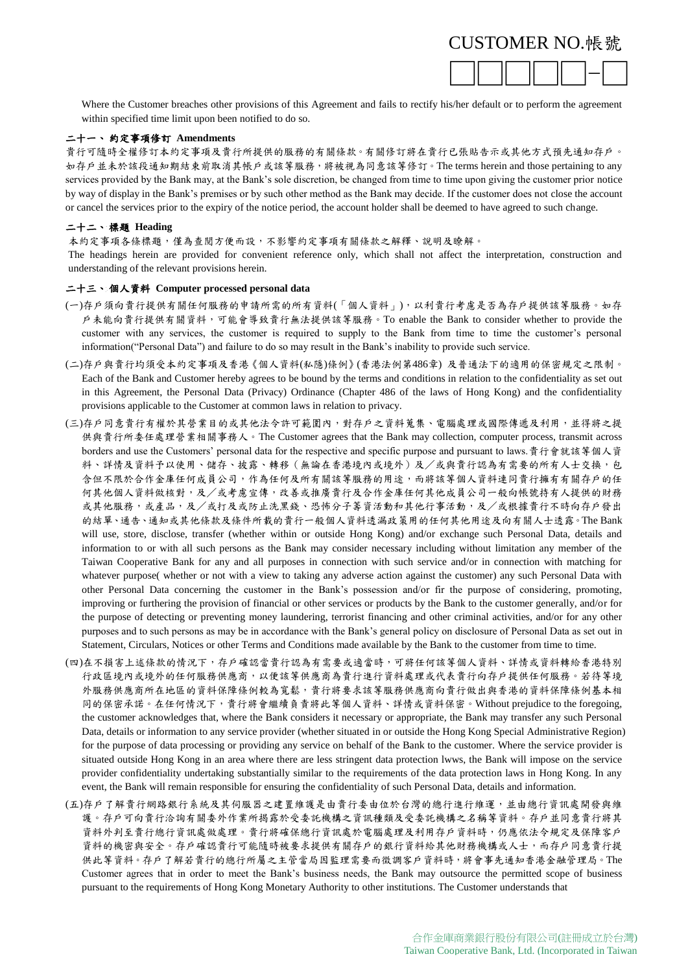

Where the Customer breaches other provisions of this Agreement and fails to rectify his/her default or to perform the agreement within specified time limit upon been notified to do so.

#### 二十一、 約定事項修訂 **Amendments**

貴行可隨時全權修訂本約定事項及貴行所提供的服務的有關條款。有關修訂將在貴行已張貼告示或其他方式預先通知存戶。 如存戶並未於該段通知期結束前取消其帳戶或該等服務,將被視為同意該等修訂。The terms herein and those pertaining to any services provided by the Bank may, at the Bank's sole discretion, be changed from time to time upon giving the customer prior notice by way of display in the Bank's premises or by such other method as the Bank may decide. If the customer does not close the account or cancel the services prior to the expiry of the notice period, the account holder shall be deemed to have agreed to such change.

## 二十二、 標題 **Heading**

本約定事項各條標題,僅為查閱方便而設,不影響約定事項有關條款之解釋、說明及瞭解。

The headings herein are provided for convenient reference only, which shall not affect the interpretation, construction and understanding of the relevant provisions herein.

#### 二十三、 個人資料 **Computer processed personal data**

- (一)存戶須向貴行提供有關任何服務的申請所需的所有資料(「個人資料」),以利貴行考慮是否為存戶提供該等服務。如存 戶未能向貴行提供有關資料,可能會導致貴行無法提供該等服務。To enable the Bank to consider whether to provide the customer with any services, the customer is required to supply to the Bank from time to time the customer's personal information("Personal Data") and failure to do so may result in the Bank's inability to provide such service.
- (二)存戶與貴行均須受本約定事項及香港《個人資料(私隱)條例》(香港法例第486章) 及普通法下的適用的保密規定之限制。 Each of the Bank and Customer hereby agrees to be bound by the terms and conditions in relation to the confidentiality as set out in this Agreement, the Personal Data (Privacy) Ordinance (Chapter 486 of the laws of Hong Kong) and the confidentiality provisions applicable to the Customer at common laws in relation to privacy.
- (三)存戶同意貴行有權於其營業目的或其他法令許可範圍內,對存戶之資料蒐集、電腦處理或國際傳遞及利用,並得將之提 供與貴行所委任處理營業相關事務人。The Customer agrees that the Bank may collection, computer process, transmit across borders and use the Customers' personal data for the respective and specific purpose and pursuant to laws.貴行會就該等個人資 料、詳情及資料予以使用、儲存、披露、轉移(無論在香港境內或境外)及/或與貴行認為有需要的所有人士交換,包 含但不限於合作金庫任何成員公司,作為任何及所有關該等服務的用途,而將該等個人資料連同貴行擁有有關存戶的任 何其他個人資料做核對,及/或考慮宣傳,改善或推廣貴行及合作金庫任何其他成員公司一般向帳號持有人提供的財務 或其他服務,或產品,及/或打及或防止洗黑錢、恐怖分子籌資活動和其他行事活動,及/或根據貴行不時向存戶發出 的結單、通告、通知或其他條款及條件所載的貴行一般個人資料透漏政策用的任何其他用途及向有關人士透露。The Bank will use, store, disclose, transfer (whether within or outside Hong Kong) and/or exchange such Personal Data, details and information to or with all such persons as the Bank may consider necessary including without limitation any member of the Taiwan Cooperative Bank for any and all purposes in connection with such service and/or in connection with matching for whatever purpose( whether or not with a view to taking any adverse action against the customer) any such Personal Data with other Personal Data concerning the customer in the Bank's possession and/or fir the purpose of considering, promoting, improving or furthering the provision of financial or other services or products by the Bank to the customer generally, and/or for the purpose of detecting or preventing money laundering, terrorist financing and other criminal activities, and/or for any other purposes and to such persons as may be in accordance with the Bank's general policy on disclosure of Personal Data as set out in Statement, Circulars, Notices or other Terms and Conditions made available by the Bank to the customer from time to time.
- (四)在不損害上述條款的情況下,存戶確認當貴行認為有需要或適當時,可將任何該等個人資料、詳情或資料轉給香港特別 行政區境內或境外的任何服務供應商,以便該等供應商為貴行進行資料處理或代表貴行向存戶提供任何服務。若待等境 外服務供應商所在地區的資料保障條例較為寬鬆,貴行將要求該等服務供應商向貴行做出與香港的資料保障條例基本相 同的保密承諾。在任何情況下,貴行將會繼續負責將此等個人資料、詳情或資料保密。Without prejudice to the foregoing, the customer acknowledges that, where the Bank considers it necessary or appropriate, the Bank may transfer any such Personal Data, details or information to any service provider (whether situated in or outside the Hong Kong Special Administrative Region) for the purpose of data processing or providing any service on behalf of the Bank to the customer. Where the service provider is situated outside Hong Kong in an area where there are less stringent data protection lwws, the Bank will impose on the service provider confidentiality undertaking substantially similar to the requirements of the data protection laws in Hong Kong. In any event, the Bank will remain responsible for ensuring the confidentiality of such Personal Data, details and information.
- (五)存戶了解貴行網路銀行系統及其伺服器之建置維護是由貴行委由位於台灣的總行進行維運,並由總行資訊處開發與維 護。存戶可向貴行洽詢有關委外作業所揭露於受委託機構之資訊種類及受委託機構之名稱等資料。存戶並同意貴行將其 資料外判至貴行總行資訊處做處理。貴行將確保總行資訊處於電腦處理及利用存戶資料時,仍應依法令規定及保障客戶 資料的機密與安全。存戶確認貴行可能隨時被要求提供有關存戶的銀行資料給其他財務機構或人士,而存戶同意貴行提 供此等資料。存戶了解若貴行的總行所屬之主管當局因監理需要而徵調客戶資料時,將會事先通知香港金融管理局。The Customer agrees that in order to meet the Bank's business needs, the Bank may outsource the permitted scope of business pursuant to the requirements of Hong Kong Monetary Authority to other institutions. The Customer understands that